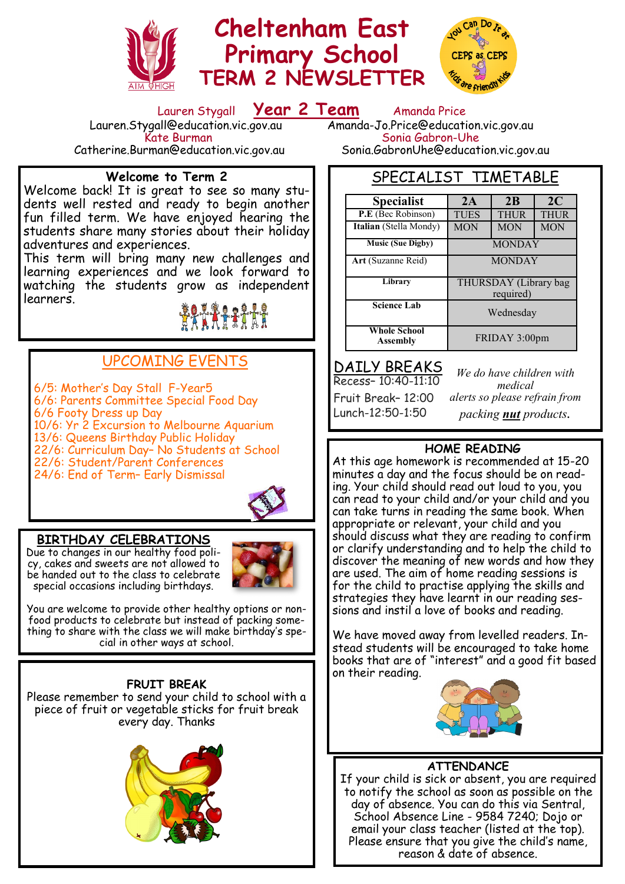

# **Cheltenham East Primary School TERM 2 NEWSLETTER**



Lauren Stygall **Year 2 Team** Amanda Price Sonia Gabron-Uhe

Catherine.Burman@education.vic.gov.au Sonia.GabronUhe@education.vic.gov.au

### **Welcome to Term 2**

Lauren.Stygall@education.vic.gov.au<br>Kate Burman

Welcome back! It is great to see so many students well rested and ready to begin another fun filled term. We have enjoyed hearing the students share many stories about their holiday adventures and experiences.

This term will bring many new challenges and learning experiences and we look forward to watching the students grow as independent learners.



### UPCOMING EVENTS

6/5: Mother's Day Stall F-Year5 6/6: Parents Committee Special Food Day 6/6 Footy Dress up Day 10/6: Yr 2 Excursion to Melbourne Aquarium 13/6: Queens Birthday Public Holiday 22/6: Curriculum Day– No Students at School 22/6: Student/Parent Conferences 24/6: End of Term– Early Dismissal



### **BIRTHDAY CELEBRATIONS**

Due to changes in our healthy food policy, cakes and sweets are not allowed to be handed out to the class to celebrate special occasions including birthdays.



You are welcome to provide other healthy options or nonfood products to celebrate but instead of packing something to share with the class we will make birthday's special in other ways at school.

#### **FRUIT BREAK**

Please remember to send your child to school with a piece of fruit or vegetable sticks for fruit break every day. Thanks



SPECIALIST TIMETABLE

| <b>Specialist</b>                      | 2A                                 | 2 <sub>B</sub> | 2C          |
|----------------------------------------|------------------------------------|----------------|-------------|
| P.E (Bec Robinson)                     | <b>TUES</b>                        | <b>THUR</b>    | <b>THUR</b> |
| Italian (Stella Mondy)                 | <b>MON</b>                         | <b>MON</b>     | <b>MON</b>  |
| <b>Music (Sue Digby)</b>               | <b>MONDAY</b>                      |                |             |
| Art (Suzanne Reid)                     | <b>MONDAY</b>                      |                |             |
| Library                                | THURSDAY (Library bag<br>required) |                |             |
| <b>Science Lab</b>                     | Wednesday                          |                |             |
| <b>Whole School</b><br><b>Assembly</b> | FRIDAY 3:00pm                      |                |             |

DAILY BREAKS

Recess– 10:40-11:10 Fruit Break– 12:00 Lunch-12:50-1:50

*We do have children with medical alerts so please refrain from packing nut products.*

### **HOME READING**

At this age homework is recommended at 15-20 minutes a day and the focus should be on reading. Your child should read out loud to you, you can read to your child and/or your child and you can take turns in reading the same book. When appropriate or relevant, your child and you should discuss what they are reading to confirm or clarify understanding and to help the child to discover the meaning of new words and how they are used. The aim of home reading sessions is for the child to practise applying the skills and strategies they have learnt in our reading sessions and instil a love of books and reading.

We have moved away from levelled readers. Instead students will be encouraged to take home books that are of "interest" and a good fit based on their reading.



### **ATTENDANCE**

If your child is sick or absent, you are required to notify the school as soon as possible on the day of absence. You can do this via Sentral, School Absence Line - 9584 7240; Dojo or email your class teacher (listed at the top). Please ensure that you give the child's name, reason & date of absence.